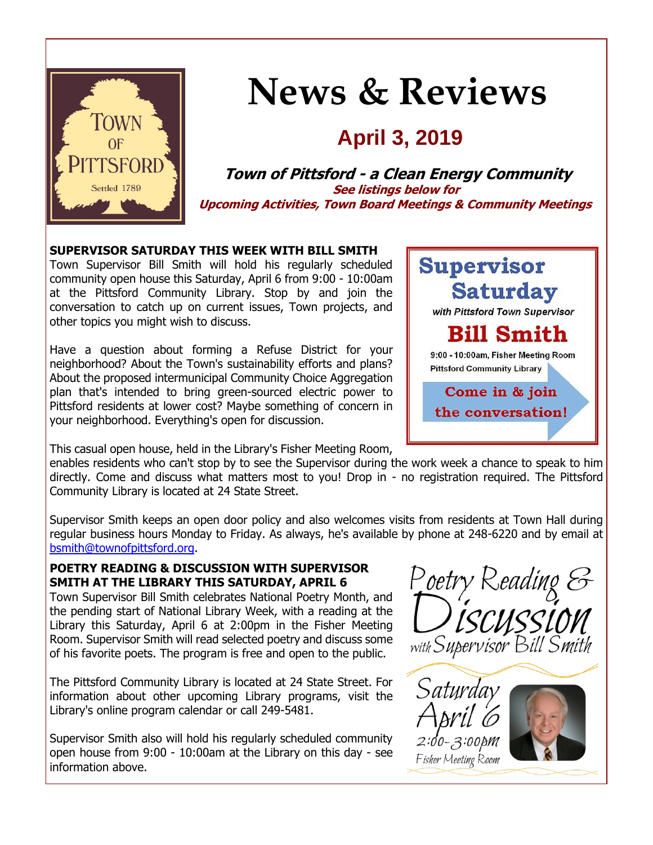

# **News & Reviews**

### **April 3, 2019**

**Town of Pittsford - a Clean Energy Community See listings below for Upcoming Activities, Town Board Meetings & Community Meetings**

#### **SUPERVISOR SATURDAY THIS WEEK WITH BILL SMITH**

Town Supervisor Bill Smith will hold his regularly scheduled community open house this Saturday, April 6 from 9:00 - 10:00am at the Pittsford Community Library. Stop by and join the conversation to catch up on current issues, Town projects, and other topics you might wish to discuss.

Have a question about forming a Refuse District for your neighborhood? About the Town's sustainability efforts and plans? About the proposed intermunicipal Community Choice Aggregation plan that's intended to bring green-sourced electric power to Pittsford residents at lower cost? Maybe something of concern in your neighborhood. Everything's open for discussion.

This casual open house, held in the Library's Fisher Meeting Room,

enables residents who can't stop by to see the Supervisor during the work week a chance to speak to him directly. Come and discuss what matters most to you! Drop in - no registration required. The Pittsford Community Library is located at 24 State Street.

Supervisor Smith keeps an open door policy and also welcomes visits from residents at Town Hall during regular business hours Monday to Friday. As always, he's available by phone at 248-6220 and by email at [bsmith@townofpittsford.org.](mailto:bsmith@townofpittsford.org)

#### **POETRY READING & DISCUSSION WITH SUPERVISOR SMITH AT THE LIBRARY THIS SATURDAY, APRIL 6**

Town Supervisor Bill Smith celebrates National Poetry Month, and the pending start of National Library Week, with a reading at the Library this Saturday, April 6 at 2:00pm in the Fisher Meeting Room. Supervisor Smith will read selected poetry and discuss some of his favorite poets. The program is free and open to the public.

The Pittsford Community Library is located at 24 State Street. For information about other upcoming Library programs, visit the Library's online program calendar or call 249-5481.

Supervisor Smith also will hold his regularly scheduled community open house from 9:00 - 10:00am at the Library on this day - see information above.



**Supervisor** 

**Saturday** with Pittsford Town Supervisor

**Bill Smith** 

9:00 - 10:00am, Fisher Meeting Room

Come in & join the conversation!

**Pittsford Community Library** 



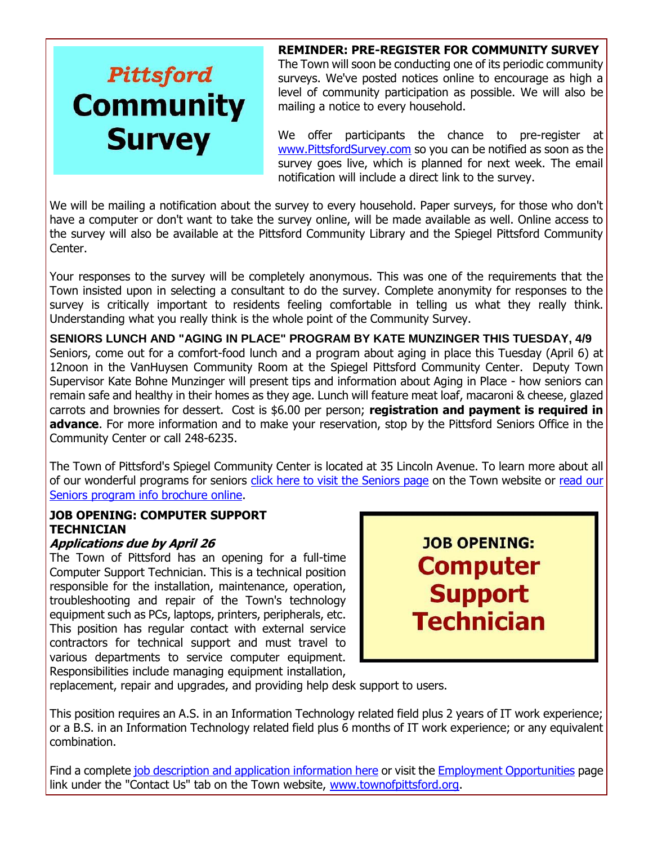## Pittsford **Community Survey**

**REMINDER: PRE-REGISTER FOR COMMUNITY SURVEY** The Town will soon be conducting one of its periodic community surveys. We've posted notices online to encourage as high a level of community participation as possible. We will also be mailing a notice to every household.

We offer participants the chance to pre-register at [www.PittsfordSurvey.com](http://r20.rs6.net/tn.jsp?f=001PKhKs-MLL-OWFtf8JGq8gRu0RpJYNvczGR7uBdRQ_Tl1Tq1eqxGuQSSsRpUd_6NakbLu8ijasupI8nmSMjoDOepxfEeaObP4olOhMrMLG4C9EXh2iAgIVVLpexd3misgNZ0_5_sJdXycIKWc2I0Dxe2Pfv_8CAfINKhRgjDVbGKEy0awZcXL8QUUKrudU2iHZQaRRUzuP9x5X5oorzil7rY1R71uti1tBzDDbCOmWJg3TOKlDZBBNc6MfdyhuLGE9ZUAeXKPkGtmAl2G29sJvRPbGZobpVt9YMoJs7o3Y-4=&c=h8P2_gfebE8uM50I4n1X3R6Zloqqwnm5LImqcLdnqUM4SyYPEOSMnQ==&ch=LeQHuAfW3t4Tgh0OsOlqQQlfkYRJCj9rC1RghOOjJWjmBmOlCf_amQ==) so you can be notified as soon as the survey goes live, which is planned for next week. The email notification will include a direct link to the survey.

We will be mailing a notification about the survey to every household. Paper surveys, for those who don't have a computer or don't want to take the survey online, will be made available as well. Online access to the survey will also be available at the Pittsford Community Library and the Spiegel Pittsford Community Center.

Your responses to the survey will be completely anonymous. This was one of the requirements that the Town insisted upon in selecting a consultant to do the survey. Complete anonymity for responses to the survey is critically important to residents feeling comfortable in telling us what they really think. Understanding what you really think is the whole point of the Community Survey.

**SENIORS LUNCH AND "AGING IN PLACE" PROGRAM BY KATE MUNZINGER THIS TUESDAY, 4/9** Seniors, come out for a comfort-food lunch and a program about aging in place this Tuesday (April 6) at 12noon in the VanHuysen Community Room at the Spiegel Pittsford Community Center. Deputy Town Supervisor Kate Bohne Munzinger will present tips and information about Aging in Place - how seniors can remain safe and healthy in their homes as they age. Lunch will feature meat loaf, macaroni & cheese, glazed carrots and brownies for dessert. Cost is \$6.00 per person; **registration and payment is required in advance**. For more information and to make your reservation, stop by the Pittsford Seniors Office in the Community Center or call 248-6235.

The Town of Pittsford's Spiegel Community Center is located at 35 Lincoln Avenue. To learn more about all of our wonderful programs for seniors [click here to visit the Seniors page](http://r20.rs6.net/tn.jsp?f=001PKhKs-MLL-OWFtf8JGq8gRu0RpJYNvczGR7uBdRQ_Tl1Tq1eqxGuQSr7h3rqhORApr05mZlE6NHMQ5dJeuxT9BOpiZkiqd1GSll-byHw0qyjP9Djkr5gmSMNcW3AX9nWAt8pM2-P9Iews83ao7DgwxaDObi7AMUdVDWuw2GDd0BosAdkNA-3TZ94JmM1414E6SS3apvWvoJgnbwjy_H5aAq5lfqcJ5S0ZRBJLDk6Cn9obbjcuT5jmkW5w3o91q5BQagoh_yEaIo5Ev_6p1sxG_KaGk-mzbzAkk18nr5aTsnxp_D9Xz6dqNR7uD6F90LO&c=h8P2_gfebE8uM50I4n1X3R6Zloqqwnm5LImqcLdnqUM4SyYPEOSMnQ==&ch=LeQHuAfW3t4Tgh0OsOlqQQlfkYRJCj9rC1RghOOjJWjmBmOlCf_amQ==) on the Town website or [read our](http://r20.rs6.net/tn.jsp?f=001PKhKs-MLL-OWFtf8JGq8gRu0RpJYNvczGR7uBdRQ_Tl1Tq1eqxGuQRxt6Jn5IRPvtMdTcSzBvVsEaEY7D6TGQtCgS3YUjShwrMXn78ugxFpc_zaBp2uNGE96THAAu9ACCoD26uJBaZt8KeO_LdN7Jq0cpOgO87ON0AiGbIJWM3eopZCMH7XJAM_bPGJTrMdoS6cz08FT2kLgNbgX4jRBJc5A-xyPK1fhlPuwkI4sHJtQ8SbEBWJIq_IVyr6VecwsiwnA7W8FIr6aW6aNYj4Hg8bKDjUg5B2v3pZLPzT2xkfug4e7G6BM_j1ayMREQB8dREbb9knkXZoqTYU6ikL1q9qbfmMgJaqKBkLmKE8SuUEwdseB4I_agQ==&c=h8P2_gfebE8uM50I4n1X3R6Zloqqwnm5LImqcLdnqUM4SyYPEOSMnQ==&ch=LeQHuAfW3t4Tgh0OsOlqQQlfkYRJCj9rC1RghOOjJWjmBmOlCf_amQ==)  [Seniors program info brochure online.](http://r20.rs6.net/tn.jsp?f=001PKhKs-MLL-OWFtf8JGq8gRu0RpJYNvczGR7uBdRQ_Tl1Tq1eqxGuQRxt6Jn5IRPvtMdTcSzBvVsEaEY7D6TGQtCgS3YUjShwrMXn78ugxFpc_zaBp2uNGE96THAAu9ACCoD26uJBaZt8KeO_LdN7Jq0cpOgO87ON0AiGbIJWM3eopZCMH7XJAM_bPGJTrMdoS6cz08FT2kLgNbgX4jRBJc5A-xyPK1fhlPuwkI4sHJtQ8SbEBWJIq_IVyr6VecwsiwnA7W8FIr6aW6aNYj4Hg8bKDjUg5B2v3pZLPzT2xkfug4e7G6BM_j1ayMREQB8dREbb9knkXZoqTYU6ikL1q9qbfmMgJaqKBkLmKE8SuUEwdseB4I_agQ==&c=h8P2_gfebE8uM50I4n1X3R6Zloqqwnm5LImqcLdnqUM4SyYPEOSMnQ==&ch=LeQHuAfW3t4Tgh0OsOlqQQlfkYRJCj9rC1RghOOjJWjmBmOlCf_amQ==)

#### **JOB OPENING: COMPUTER SUPPORT TECHNICIAN**

#### **Applications due by April 26**

The Town of Pittsford has an opening for a full-time Computer Support Technician. This is a technical position responsible for the installation, maintenance, operation, troubleshooting and repair of the Town's technology equipment such as PCs, laptops, printers, peripherals, etc. This position has regular contact with external service contractors for technical support and must travel to various departments to service computer equipment. Responsibilities include managing equipment installation,



replacement, repair and upgrades, and providing help desk support to users.

This position requires an A.S. in an Information Technology related field plus 2 years of IT work experience; or a B.S. in an Information Technology related field plus 6 months of IT work experience; or any equivalent combination.

Find a complete [job description and application information here](http://r20.rs6.net/tn.jsp?f=001PKhKs-MLL-OWFtf8JGq8gRu0RpJYNvczGR7uBdRQ_Tl1Tq1eqxGuQVuYwWFJW1LqgmUfSmtEltAUCY1Wbyxfufva8tBgjVjWJNd3bODuUghxc2f8r9b4J9hli_ASB88bXBNr4OvcTAyB6t56DUPbaMLILVc9a39koAizEKhUa_N4IPfhiJZUWCahi8Q4IGbyOK-hcB9jZlE_DYF4LVpSMf0lsWTS-rezbaxNnpydkw2wMJwr9VWAknGaKWDnhmK_4Ek8FcbuCJYALL69PDsytvQEk0bBUNe1xTh0szuMUzHfNOK9L-Erg_Ol1EYSWV0BlX9kZuFKEd57XmpUnop3fMFaEKaQklAl2P-As4ol8rMU58aO_fY9V4Vk6ewzxk0_xh7FeT_QFnKJky64vWtOpARB4KRrPndl&c=h8P2_gfebE8uM50I4n1X3R6Zloqqwnm5LImqcLdnqUM4SyYPEOSMnQ==&ch=LeQHuAfW3t4Tgh0OsOlqQQlfkYRJCj9rC1RghOOjJWjmBmOlCf_amQ==) or visit the [Employment Opportunities](http://r20.rs6.net/tn.jsp?f=001PKhKs-MLL-OWFtf8JGq8gRu0RpJYNvczGR7uBdRQ_Tl1Tq1eqxGuQSKrXDxnXgneRIBdPf8HO5Y6OPl6pXP39BbrEEnZqZe8975l7_5z_ZDuDu_8ZpCIr2DvN6IC7hRgoFHIT31_Wz5kVT5Dl8opxsNQUcfkR5mJI1kYrJOW5Z69VzFNOlAW5QBcmzKa9J80V7_zyLr_Im2IhYPWrs6vZfcqYzBcQwJmsptiupfV3YGvF9As8m6gEFmarrg04M0O3B9q87ZOqeK3jcJZ0ICWN0wtGnlGO-xdkm-eejHyK-K4G_2DAQtAxv9_oIVXyz5oOdxG8eVYlvJXN7VQCMj5Y9psZMgWPHWJ&c=h8P2_gfebE8uM50I4n1X3R6Zloqqwnm5LImqcLdnqUM4SyYPEOSMnQ==&ch=LeQHuAfW3t4Tgh0OsOlqQQlfkYRJCj9rC1RghOOjJWjmBmOlCf_amQ==) page link under the "Contact Us" tab on the Town website, [www.townofpittsford.org.](http://www.townofpittsford.org/)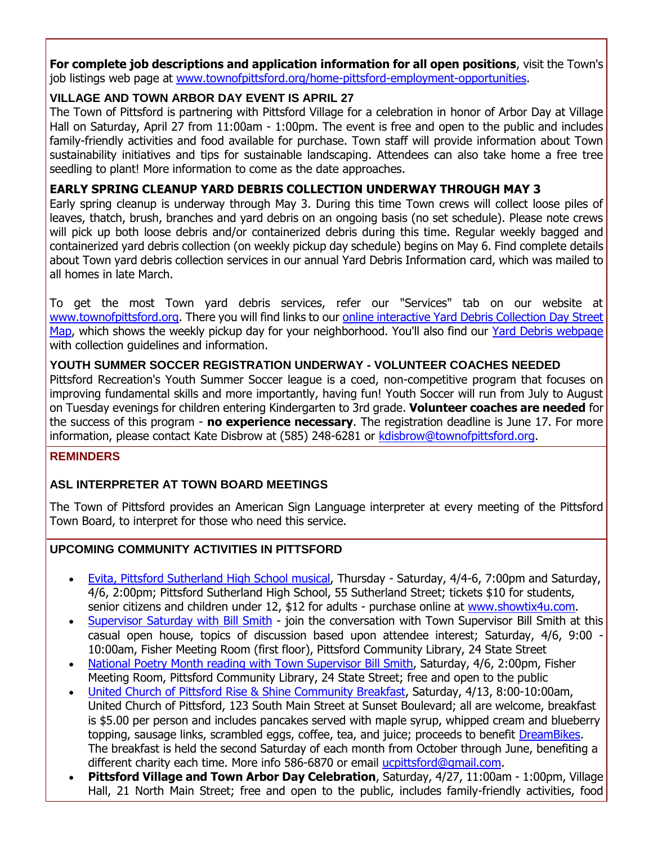**For complete job descriptions and application information for all open positions**, visit the Town's job listings web page at [www.townofpittsford.org/home-pittsford-employment-opportunities.](http://r20.rs6.net/tn.jsp?f=001PKhKs-MLL-OWFtf8JGq8gRu0RpJYNvczGR7uBdRQ_Tl1Tq1eqxGuQSKrXDxnXgneRIBdPf8HO5Y6OPl6pXP39BbrEEnZqZe8975l7_5z_ZDuDu_8ZpCIr2DvN6IC7hRgoFHIT31_Wz5kVT5Dl8opxsNQUcfkR5mJI1kYrJOW5Z69VzFNOlAW5QBcmzKa9J80V7_zyLr_Im2IhYPWrs6vZfcqYzBcQwJmsptiupfV3YGvF9As8m6gEFmarrg04M0O3B9q87ZOqeK3jcJZ0ICWN0wtGnlGO-xdkm-eejHyK-K4G_2DAQtAxv9_oIVXyz5oOdxG8eVYlvJXN7VQCMj5Y9psZMgWPHWJ&c=h8P2_gfebE8uM50I4n1X3R6Zloqqwnm5LImqcLdnqUM4SyYPEOSMnQ==&ch=LeQHuAfW3t4Tgh0OsOlqQQlfkYRJCj9rC1RghOOjJWjmBmOlCf_amQ==)

#### **VILLAGE AND TOWN ARBOR DAY EVENT IS APRIL 27**

The Town of Pittsford is partnering with Pittsford Village for a celebration in honor of Arbor Day at Village Hall on Saturday, April 27 from 11:00am - 1:00pm. The event is free and open to the public and includes family-friendly activities and food available for purchase. Town staff will provide information about Town sustainability initiatives and tips for sustainable landscaping. Attendees can also take home a free tree seedling to plant! More information to come as the date approaches.

#### **EARLY SPRING CLEANUP YARD DEBRIS COLLECTION UNDERWAY THROUGH MAY 3**

Early spring cleanup is underway through May 3. During this time Town crews will collect loose piles of leaves, thatch, brush, branches and yard debris on an ongoing basis (no set schedule). Please note crews will pick up both loose debris and/or containerized debris during this time. Regular weekly bagged and containerized yard debris collection (on weekly pickup day schedule) begins on May 6. Find complete details about Town yard debris collection services in our annual Yard Debris Information card, which was mailed to all homes in late March.

To get the most Town yard debris services, refer our "Services" tab on our website at [www.townofpittsford.org.](http://r20.rs6.net/tn.jsp?f=001PKhKs-MLL-OWFtf8JGq8gRu0RpJYNvczGR7uBdRQ_Tl1Tq1eqxGuQRQ_Sk_om19IbBOLgqz8Dy3z_AFQs3-alJsx5J-5bOipbCTG1wTe-5p80zkby46KAE8Ms5SIpoJ1nljOOw8BplIygrma44EdaLa81QlkhQBmvimtoNgKUZZTyI54K-G11qyXo9DcrLd3liUYypjkkSsZp0NyZbv0EMH8qNkSi3ye60jXNV3dseIVJbV7NeqLekrSm6HcoLHcJhEdHcqzd9j2LkC8FkKRmrNgL6F5bkxn43M9SYYsLBQ=&c=h8P2_gfebE8uM50I4n1X3R6Zloqqwnm5LImqcLdnqUM4SyYPEOSMnQ==&ch=LeQHuAfW3t4Tgh0OsOlqQQlfkYRJCj9rC1RghOOjJWjmBmOlCf_amQ==) There you will find links to our online interactive Yard Debris Collection Day Street [Map,](http://r20.rs6.net/tn.jsp?f=001PKhKs-MLL-OWFtf8JGq8gRu0RpJYNvczGR7uBdRQ_Tl1Tq1eqxGuQQ0ABLmrP0-toI-zXH8aBPi1PjDwgXQ6AbQLZ0qqjDiSG4HI0aG0Grg77O4aKGp7RpdPDtF798CUecSWWz71DKneA3TPhw3x07OtwTzdh1sKcu1J8oL2TKTA3uPUWIN0itPRsegQuLOYC7buLFkkEF8NeY8JVtd2kDj5w-Qe_Qd-1LwUp3zvYucnl-XewoLe9_wQMtRk3o7fYkyAPoagcRuegotAMK1c7tRoZhiIS7-3LWPPkumKq1tOf80_xAjny22NX0_4rKr2&c=h8P2_gfebE8uM50I4n1X3R6Zloqqwnm5LImqcLdnqUM4SyYPEOSMnQ==&ch=LeQHuAfW3t4Tgh0OsOlqQQlfkYRJCj9rC1RghOOjJWjmBmOlCf_amQ==) which shows the weekly pickup day for your neighborhood. You'll also find our [Yard Debris webpage](http://r20.rs6.net/tn.jsp?f=001PKhKs-MLL-OWFtf8JGq8gRu0RpJYNvczGR7uBdRQ_Tl1Tq1eqxGuQbc7goaaiBARGEmDITKEsmrwFij457bYdjZaRhDh-3n8JI_Ho82H9__UnAK02FA0_b0X_Lcmqln4fAXkCtzoEBUuvyZ5Via1CDJOapvvYuH3DbgSZlsvgSrOChuAjX4k0kwVkR-MPioiZ5MmzOY9MLZch2EPWnLFBMYUrTNhyId4JouaDcCZEjPABr04_cY5JSajPKvw1p0td2g7G1cioWQ5QBGQOO3GEanVCdia3Nsbl_6n4yRwx69-15JzoixQFPps9tC5IJzJ&c=h8P2_gfebE8uM50I4n1X3R6Zloqqwnm5LImqcLdnqUM4SyYPEOSMnQ==&ch=LeQHuAfW3t4Tgh0OsOlqQQlfkYRJCj9rC1RghOOjJWjmBmOlCf_amQ==) with collection guidelines and information.

#### **YOUTH SUMMER SOCCER REGISTRATION UNDERWAY - VOLUNTEER COACHES NEEDED**

Pittsford Recreation's Youth Summer Soccer league is a coed, non-competitive program that focuses on improving fundamental skills and more importantly, having fun! Youth Soccer will run from July to August on Tuesday evenings for children entering Kindergarten to 3rd grade. **Volunteer coaches are needed** for the success of this program - **no experience necessary**. The registration deadline is June 17. For more information, please contact Kate Disbrow at (585) 248-6281 or [kdisbrow@townofpittsford.org.](mailto:kdisbrow@townofpittsford.org)

#### **REMINDERS**

#### **ASL INTERPRETER AT TOWN BOARD MEETINGS**

The Town of Pittsford provides an American Sign Language interpreter at every meeting of the Pittsford Town Board, to interpret for those who need this service.

#### **UPCOMING COMMUNITY ACTIVITIES IN PITTSFORD**

- [Evita, Pittsford Sutherland High School musical,](http://r20.rs6.net/tn.jsp?f=001PKhKs-MLL-OWFtf8JGq8gRu0RpJYNvczGR7uBdRQ_Tl1Tq1eqxGuQfpPF1WX5hnLDPDT3igNMbxrRgLbM2miqwW04BFbsWspzHs2s_DI-3X-OwNRuNO2-nTGVV0ciCcL7bl2foOTn__cf-dRJYLTRf39iQR9MG8bezAtik6FUVyIDY0LKSsAeXWO-0YlDWGDMML-yy94NO21UGUP8AKFuhoIbuzYeT8nvecYbhY9ZZrM8VkzzU1sEWpEAZrsZ-GfUFlnJaAvM9ZS_Gd8p6K0fam3trM-fLIk&c=h8P2_gfebE8uM50I4n1X3R6Zloqqwnm5LImqcLdnqUM4SyYPEOSMnQ==&ch=LeQHuAfW3t4Tgh0OsOlqQQlfkYRJCj9rC1RghOOjJWjmBmOlCf_amQ==) Thursday Saturday, 4/4-6, 7:00pm and Saturday, 4/6, 2:00pm; Pittsford Sutherland High School, 55 Sutherland Street; tickets \$10 for students, senior citizens and children under 12, \$12 for adults - purchase online at [www.showtix4u.com.](http://r20.rs6.net/tn.jsp?f=001PKhKs-MLL-OWFtf8JGq8gRu0RpJYNvczGR7uBdRQ_Tl1Tq1eqxGuQfpPF1WX5hnLDPDT3igNMbxrRgLbM2miqwW04BFbsWspzHs2s_DI-3X-OwNRuNO2-nTGVV0ciCcL7bl2foOTn__cf-dRJYLTRf39iQR9MG8bezAtik6FUVyIDY0LKSsAeXWO-0YlDWGDMML-yy94NO21UGUP8AKFuhoIbuzYeT8nvecYbhY9ZZrM8VkzzU1sEWpEAZrsZ-GfUFlnJaAvM9ZS_Gd8p6K0fam3trM-fLIk&c=h8P2_gfebE8uM50I4n1X3R6Zloqqwnm5LImqcLdnqUM4SyYPEOSMnQ==&ch=LeQHuAfW3t4Tgh0OsOlqQQlfkYRJCj9rC1RghOOjJWjmBmOlCf_amQ==)
- [Supervisor Saturday with Bill Smith](http://r20.rs6.net/tn.jsp?f=001PKhKs-MLL-OWFtf8JGq8gRu0RpJYNvczGR7uBdRQ_Tl1Tq1eqxGuQSSsRpUd_6NaWWG9sFSLSe7fT7zDdpCBBwzk5YUhwmKIKRUAfe6Oi3iHM4QDS0BNbL3DPlM5l_DflA1NYw6f1vcKPrGaPoMi10GPvfJK0ZfhBQBQ8NxSMeb2jMTnklH1-bus2mBfx_iYIWOK9m5hm1D7S7ZdKqj5UcP-F_tdKQ0Qqhi4Ctm6vQchj5NkYRKePn6yyRmUpgHlM0UA6NFL3UtZFFBgW3Asx8vi_vqVNq32tNV68sr4Ow1UTuDLuCTGoMojnO-Ix3UcRAFpmUGTWE8uN0LSCDSsWp0XCcutouMnYY78KbGBUJY=&c=h8P2_gfebE8uM50I4n1X3R6Zloqqwnm5LImqcLdnqUM4SyYPEOSMnQ==&ch=LeQHuAfW3t4Tgh0OsOlqQQlfkYRJCj9rC1RghOOjJWjmBmOlCf_amQ==) join the conversation with Town Supervisor Bill Smith at this casual open house, topics of discussion based upon attendee interest; Saturday, 4/6, 9:00 - 10:00am, Fisher Meeting Room (first floor), Pittsford Community Library, 24 State Street
- [National Poetry Month reading with Town Supervisor Bill Smith,](http://r20.rs6.net/tn.jsp?f=001PKhKs-MLL-OWFtf8JGq8gRu0RpJYNvczGR7uBdRQ_Tl1Tq1eqxGuQSDGg0gatETMiTg_MGwluUxe5T-Ej1PkfiRXxzgKd8XJxNlZCUGWdeU6yrPvJCY2LMUy2_xUv_9OvzJYaMFKitNi6Wiay6dyeyqkYshO_fepHjhpbWHdq0SVD6LnDNuXtPb5XlvicCvLPlVbYAmxzfTZv8o7tRGg1OxOu1FVImTSsDXJ8S_BZQ8vmIuwgdAKcdNr4MMHqhK9TDU1QcDRyZoHE89X6m6NF5p_s7yW-Rf1oIDHHcD8t8xpAmvn3XN6u4q5gRJMEWHA&c=h8P2_gfebE8uM50I4n1X3R6Zloqqwnm5LImqcLdnqUM4SyYPEOSMnQ==&ch=LeQHuAfW3t4Tgh0OsOlqQQlfkYRJCj9rC1RghOOjJWjmBmOlCf_amQ==) Saturday, 4/6, 2:00pm, Fisher Meeting Room, Pittsford Community Library, 24 State Street; free and open to the public
- [United Church of Pittsford Rise & Shine Community Breakfast,](http://r20.rs6.net/tn.jsp?f=001PKhKs-MLL-OWFtf8JGq8gRu0RpJYNvczGR7uBdRQ_Tl1Tq1eqxGuQU5jiHW-sPRHvVJ_l6WaYz6dQpazjzaGIZYsxIHdnhDKMn492NTP9WSTyDAUktQeRwQ6Kx5koE70v4HmKXhl_b_t4oAKeBrbjaVPK9hB5OXf-lWTOSLgBJ54KXDQQ_ng5GdDsE4GL7wytimt2vB6Rd6P7_d_E_toBUNQTN1BrVuPQhe1BioOAxQYPE-c2UXGKBtSVk4Wlo1JHhM0RDatPh3k7kKoMaLb4KtB7A9GIaOEARk-AnPMp9E=&c=h8P2_gfebE8uM50I4n1X3R6Zloqqwnm5LImqcLdnqUM4SyYPEOSMnQ==&ch=LeQHuAfW3t4Tgh0OsOlqQQlfkYRJCj9rC1RghOOjJWjmBmOlCf_amQ==) Saturday, 4/13, 8:00-10:00am, United Church of Pittsford, 123 South Main Street at Sunset Boulevard; all are welcome, breakfast is \$5.00 per person and includes pancakes served with maple syrup, whipped cream and blueberry topping, sausage links, scrambled eggs, coffee, tea, and juice; proceeds to benefit [DreamBikes.](http://r20.rs6.net/tn.jsp?f=001PKhKs-MLL-OWFtf8JGq8gRu0RpJYNvczGR7uBdRQ_Tl1Tq1eqxGuQVuYwWFJW1LqTuTbPjsfI82yTyaWd7FakOftYiHcNjsjGT_5ufvfbkFtC0_U8ZJTHrpuP8SoTraPO4k0CLg_ckwEgnlYXFCe5qWQ81f_zlhpRc0FWmXC9EG3FXrcmpYHdZIFG0PqcbY1PM1_nEHMdjMLsJPyp9JVAua4vKhOmkn1vCC8gB8raD22-5Ez5E-hyIGZFBbsOBuzOq0IxhcqaKoTiJId7GWxjKv-dsXgi7CR&c=h8P2_gfebE8uM50I4n1X3R6Zloqqwnm5LImqcLdnqUM4SyYPEOSMnQ==&ch=LeQHuAfW3t4Tgh0OsOlqQQlfkYRJCj9rC1RghOOjJWjmBmOlCf_amQ==) The breakfast is held the second Saturday of each month from October through June, benefiting a different charity each time. More info 586-6870 or email [ucpittsford@gmail.com.](mailto:ucpittsford@gmail.com?subject=Rise%20and%20Shine%20Pancake%20Breakfast)
- **Pittsford Village and Town Arbor Day Celebration**, Saturday, 4/27, 11:00am 1:00pm, Village Hall, 21 North Main Street; free and open to the public, includes family-friendly activities, food